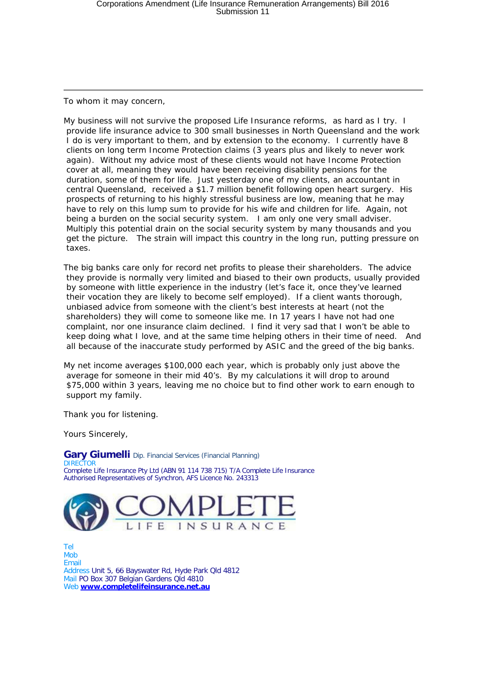To whom it may concern,

My business will not survive the proposed Life Insurance reforms, as hard as I try. I provide life insurance advice to 300 small businesses in North Queensland and the work I do is very important to them, and by extension to the economy. I currently have 8 clients on long term Income Protection claims (3 years plus and likely to never work again). Without my advice most of these clients would not have Income Protection cover at all, meaning they would have been receiving disability pensions for the duration, some of them for life. Just yesterday one of my clients, an accountant in central Queensland, received a \$1.7 million benefit following open heart surgery. His prospects of returning to his highly stressful business are low, meaning that he may have to rely on this lump sum to provide for his wife and children for life. Again, not being a burden on the social security system. I am only one very small adviser. Multiply this potential drain on the social security system by many thousands and you get the picture. The strain will impact this country in the long run, putting pressure on taxes.

The big banks care only for record net profits to please their shareholders. The advice they provide is normally very limited and biased to their own products, usually provided by someone with little experience in the industry (let's face it, once they've learned their vocation they are likely to become self employed). If a client wants thorough, unbiased advice from someone with the client's best interests at heart (not the shareholders) they will come to someone like me. In 17 years I have not had one complaint, nor one insurance claim declined. I find it very sad that I won't be able to keep doing what I love, and at the same time helping others in their time of need. And all because of the inaccurate study performed by ASIC and the greed of the big banks.

My net income averages \$100,000 each year, which is probably only just above the average for someone in their mid 40's. By my calculations it will drop to around \$75,000 within 3 years, leaving me no choice but to find other work to earn enough to support my family.

Thank you for listening.

Yours Sincerely,

**Gary Giumelli** Dip. Financial Services (Financial Planning) DIRECTOR Complete Life Insurance Pty Ltd (ABN 91 114 738 715) T/A Complete Life Insurance Authorised Representatives of Synchron, AFS Licence No. 243313



Tel Mob Email Address Unit 5, 66 Bayswater Rd, Hyde Park Qld 4812 Mail PO Box 307 Belgian Gardens Qld 4810 Web **[www.completelifeinsurance.net.au](http://www.completelifeinsurance.net.au/)**